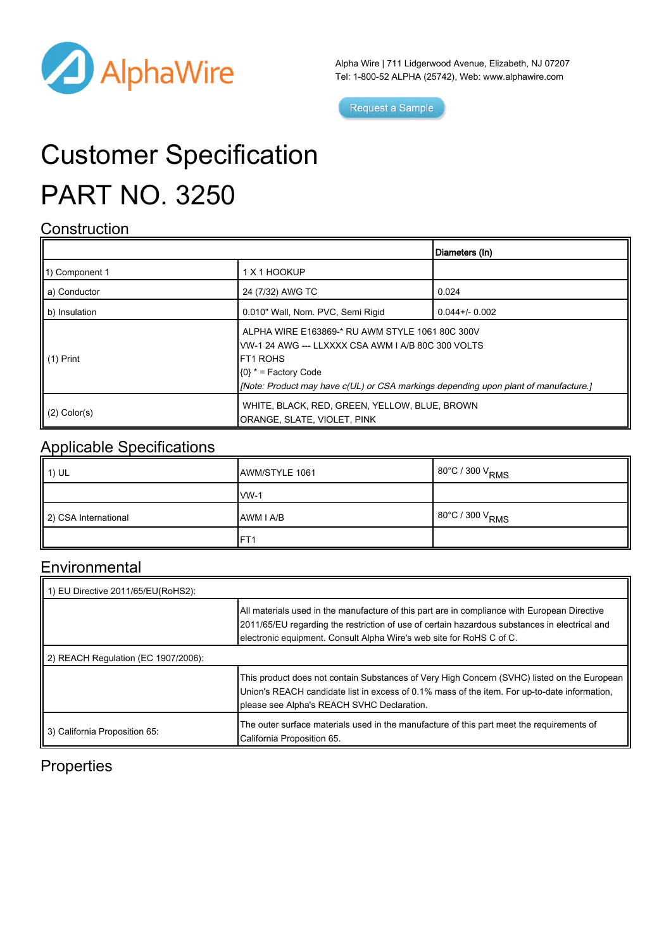

Alpha Wire | 711 Lidgerwood Avenue, Elizabeth, NJ 07207 Tel: 1-800-52 ALPHA (25742), Web: [www.alphawire.com](http://www.alphawire.com)

Request a Sample

# Customer Specification PART NO. 3250

#### **Construction**

|                       |                                                                                                                                                                                                                                            | Diameters (In)     |
|-----------------------|--------------------------------------------------------------------------------------------------------------------------------------------------------------------------------------------------------------------------------------------|--------------------|
| 11) Component 1       | 1 X 1 HOOKUP                                                                                                                                                                                                                               |                    |
| a) Conductor          | 24 (7/32) AWG TC                                                                                                                                                                                                                           | 0.024              |
| b) Insulation         | 0.010" Wall, Nom. PVC, Semi Rigid                                                                                                                                                                                                          | $0.044 + (-0.002)$ |
| $\parallel$ (1) Print | ALPHA WIRE E163869-* RU AWM STYLE 1061 80C 300V<br>VW-1 24 AWG --- LLXXXX CSA AWM I A/B 80C 300 VOLTS<br><b>IFT1 ROHS</b><br>$(0)$ * = Factory Code<br>[Note: Product may have c(UL) or CSA markings depending upon plant of manufacture.] |                    |
| $(2)$ Color(s)        | WHITE, BLACK, RED, GREEN, YELLOW, BLUE, BROWN<br>ORANGE, SLATE, VIOLET, PINK                                                                                                                                                               |                    |

#### Applicable Specifications

| $\parallel$ 1) UL    | AWM/STYLE 1061  | 80°C / 300 V <sub>RMS</sub> |
|----------------------|-----------------|-----------------------------|
|                      | $vw-1$          |                             |
| 2) CSA International | AWM I A/B       | 80°C / 300 V <sub>RMS</sub> |
|                      | FT <sub>1</sub> |                             |

### **Environmental**

| 1) EU Directive 2011/65/EU(RoHS2):  |                                                                                                                                                                                                                                                                       |  |  |
|-------------------------------------|-----------------------------------------------------------------------------------------------------------------------------------------------------------------------------------------------------------------------------------------------------------------------|--|--|
|                                     | All materials used in the manufacture of this part are in compliance with European Directive<br>2011/65/EU regarding the restriction of use of certain hazardous substances in electrical and<br>electronic equipment. Consult Alpha Wire's web site for RoHS C of C. |  |  |
| 2) REACH Regulation (EC 1907/2006): |                                                                                                                                                                                                                                                                       |  |  |
|                                     | This product does not contain Substances of Very High Concern (SVHC) listed on the European<br>Union's REACH candidate list in excess of 0.1% mass of the item. For up-to-date information,<br>please see Alpha's REACH SVHC Declaration.                             |  |  |
| 3) California Proposition 65:       | The outer surface materials used in the manufacture of this part meet the requirements of<br>California Proposition 65.                                                                                                                                               |  |  |

### **Properties**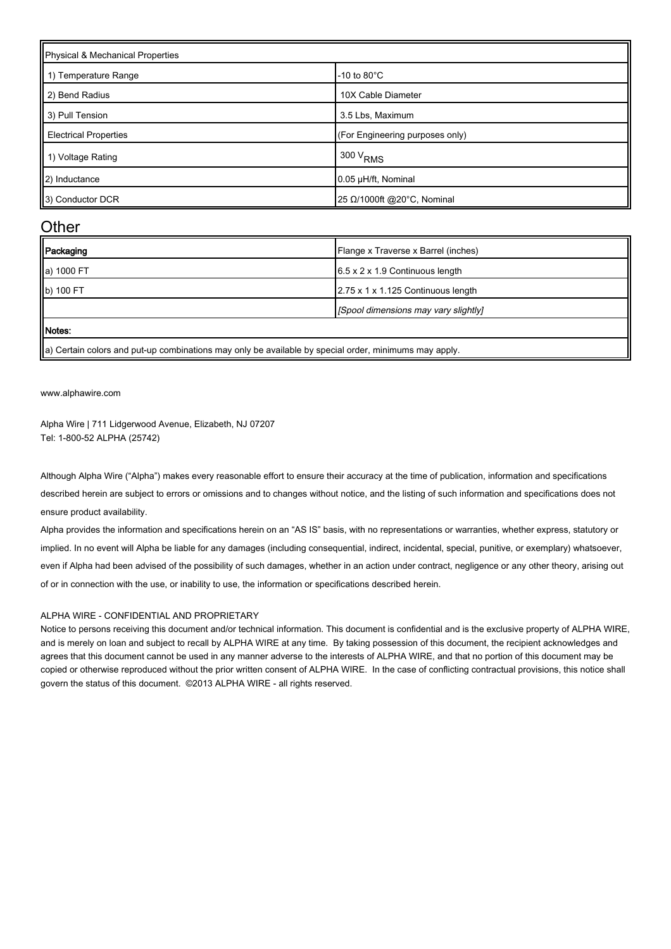| Physical & Mechanical Properties |                                 |  |
|----------------------------------|---------------------------------|--|
| 1) Temperature Range             | $-10$ to $80^{\circ}$ C         |  |
| 2) Bend Radius                   | 10X Cable Diameter              |  |
| 3) Pull Tension                  | 3.5 Lbs, Maximum                |  |
| <b>Electrical Properties</b>     | (For Engineering purposes only) |  |
| 1) Voltage Rating                | 300 V <sub>RMS</sub>            |  |
| 2) Inductance                    | 0.05 µH/ft, Nominal             |  |
| 3) Conductor DCR                 | 25 Ω/1000ft @20°C, Nominal      |  |

#### **Other**

| Packaging  | Flange x Traverse x Barrel (inches)         |
|------------|---------------------------------------------|
| a) 1000 FT | $6.5 \times 2 \times 1.9$ Continuous length |
| b) 100 FT  | 2.75 x 1 x 1.125 Continuous length          |
|            | [Spool dimensions may vary slightly]        |
| Motes:     |                                             |

 $\parallel$ a) Certain colors and put-up combinations may only be available by special order, minimums may apply.

[www.alphawire.com](http://www.alphawire.com)

Alpha Wire | 711 Lidgerwood Avenue, Elizabeth, NJ 07207 Tel: 1-800-52 ALPHA (25742)

Although Alpha Wire ("Alpha") makes every reasonable effort to ensure their accuracy at the time of publication, information and specifications described herein are subject to errors or omissions and to changes without notice, and the listing of such information and specifications does not ensure product availability.

Alpha provides the information and specifications herein on an "AS IS" basis, with no representations or warranties, whether express, statutory or implied. In no event will Alpha be liable for any damages (including consequential, indirect, incidental, special, punitive, or exemplary) whatsoever, even if Alpha had been advised of the possibility of such damages, whether in an action under contract, negligence or any other theory, arising out of or in connection with the use, or inability to use, the information or specifications described herein.

#### ALPHA WIRE - CONFIDENTIAL AND PROPRIETARY

Notice to persons receiving this document and/or technical information. This document is confidential and is the exclusive property of ALPHA WIRE, and is merely on loan and subject to recall by ALPHA WIRE at any time. By taking possession of this document, the recipient acknowledges and agrees that this document cannot be used in any manner adverse to the interests of ALPHA WIRE, and that no portion of this document may be copied or otherwise reproduced without the prior written consent of ALPHA WIRE. In the case of conflicting contractual provisions, this notice shall govern the status of this document. ©2013 ALPHA WIRE - all rights reserved.